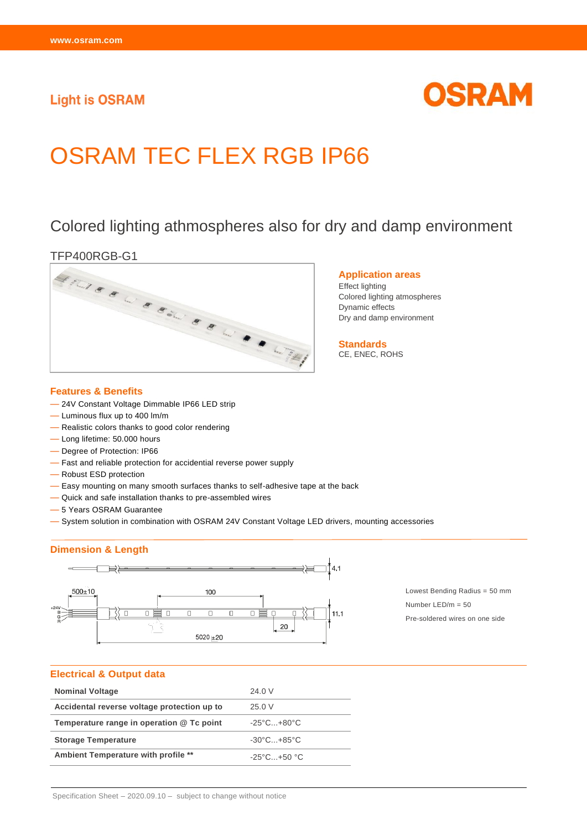## **Light is OSRAM**



# OSRAM TEC FLEX RGB IP66

# Colored lighting athmospheres also for dry and damp environment



#### **Features & Benefits**

- 24V Constant Voltage Dimmable IP66 LED strip
- Luminous flux up to 400 lm/m
- Realistic colors thanks to good color rendering
- Long lifetime: 50.000 hours
- Degree of Protection: IP66
- Fast and reliable protection for accidential reverse power supply
- Robust ESD protection
- Easy mounting on many smooth surfaces thanks to self-adhesive tape at the back
- Quick and safe installation thanks to pre-assembled wires
- 5 Years OSRAM Guarantee
- System solution in combination with OSRAM 24V Constant Voltage LED drivers, mounting accessories

#### **Dimension & Length**



Lowest Bending Radius = 50 mm Number LED/m = 50 Pre-soldered wires on one side

#### **Electrical & Output data**

| <b>Nominal Voltage</b>                      | 24.0 V                          |
|---------------------------------------------|---------------------------------|
| Accidental reverse voltage protection up to | 25.0V                           |
| Temperature range in operation @ Tc point   | $-25^{\circ}$ C $+80^{\circ}$ C |
| <b>Storage Temperature</b>                  | $-30^{\circ}$ C $+85^{\circ}$ C |
| Ambient Temperature with profile **         | $-25^{\circ}$ C $+50^{\circ}$ C |

#### Specification Sheet – 2020.09.10 – subject to change without notice

#### **Application areas**

Effect lighting Colored lighting atmospheres Dynamic effects Dry and damp environment

**Standards** CE, ENEC, ROHS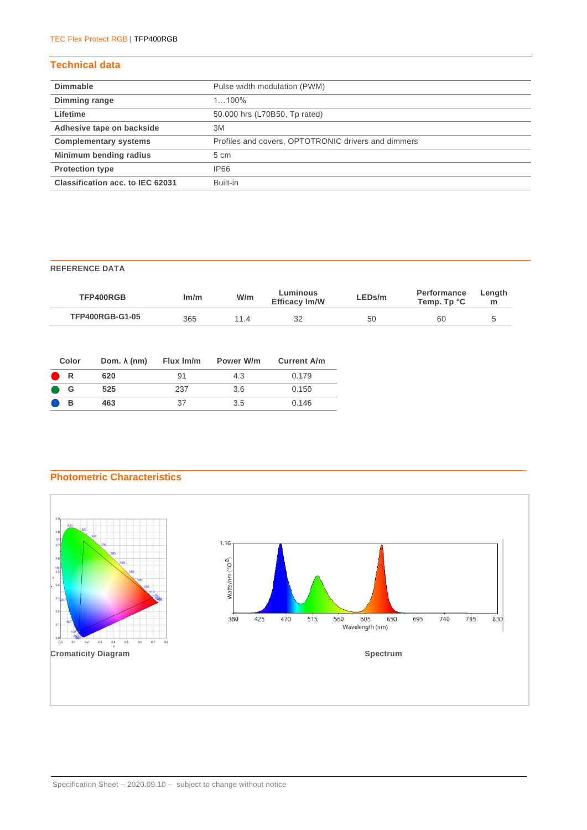#### **Technical data**

| <b>Dimmable</b>                  | Pulse width modulation (PWM)                        |
|----------------------------------|-----------------------------------------------------|
| Dimming range                    | $1100\%$                                            |
| Lifetime                         | 50.000 hrs (L70B50, Tp rated)                       |
| Adhesive tape on backside        | 3M                                                  |
| <b>Complementary systems</b>     | Profiles and covers, OPTOTRONIC drivers and dimmers |
| Minimum bending radius           | $5 \text{ cm}$                                      |
| <b>Protection type</b>           | <b>IP66</b>                                         |
| Classification acc. to IEC 62031 | Built-in                                            |

#### **REFERENCE DATA**

| TFP400RGB              | lm/m | W/m  | Luminous<br><b>Efficacy Im/W</b> | LEDs/m | <b>Performance</b><br>Temp. Tp °C | Length<br>m |
|------------------------|------|------|----------------------------------|--------|-----------------------------------|-------------|
| <b>TFP400RGB-G1-05</b> | 365  | 11 4 | 32                               | 50     | 60                                |             |

| Color | Dom. $\lambda$ (nm) | Flux Im/m | Power W/m | <b>Current A/m</b> |
|-------|---------------------|-----------|-----------|--------------------|
| R     | 620                 | 91        | 4.3       | 0.179              |
| G     | 525                 | 237       | 3.6       | 0.150              |
| в     | 463                 | 37        | 3.5       | 0.146              |

### **Photometric Characteristics**

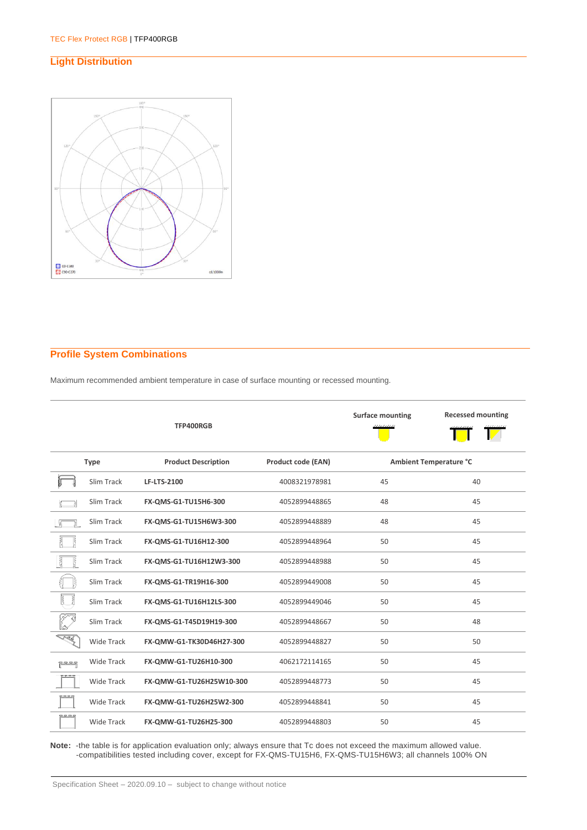#### **Light Distribution**



#### **Profile System Combinations**

Maximum recommended ambient temperature in case of surface mounting or recessed mounting.

|               |                   | TFP400RGB                  |                           | <b>Surface mounting</b> | <b>Recessed mounting</b> |
|---------------|-------------------|----------------------------|---------------------------|-------------------------|--------------------------|
|               | <b>Type</b>       | <b>Product Description</b> | <b>Product code (EAN)</b> | Ambient Temperature °C  |                          |
|               | Slim Track        | <b>LF-LTS-2100</b>         | 4008321978981             | 45                      | 40                       |
|               | Slim Track        | FX-QMS-G1-TU15H6-300       | 4052899448865             | 48                      | 45                       |
|               | Slim Track        | FX-QMS-G1-TU15H6W3-300     | 4052899448889             | 48                      | 45                       |
|               | Slim Track        | FX-QMS-G1-TU16H12-300      | 4052899448964             | 50                      | 45                       |
| Ę<br>Ł        | Slim Track        | FX-QMS-G1-TU16H12W3-300    | 4052899448988             | 50                      | 45                       |
|               | Slim Track        | FX-QMS-G1-TR19H16-300      | 4052899449008             | 50                      | 45                       |
|               | Slim Track        | FX-QMS-G1-TU16H12LS-300    | 4052899449046             | 50                      | 45                       |
|               | Slim Track        | FX-QMS-G1-T45D19H19-300    | 4052899448667             | 50                      | 48                       |
| <u>LA</u>     | <b>Wide Track</b> | FX-QMW-G1-TK30D46H27-300   | 4052899448827             | 50                      | 50                       |
| ਸੂਦ ਬਦ ਬਦ ਬਹੁ | <b>Wide Track</b> | FX-QMW-G1-TU26H10-300      | 4062172114165             | 50                      | 45                       |
|               | <b>Wide Track</b> | FX-QMW-G1-TU26H25W10-300   | 4052899448773             | 50                      | 45                       |
| ---           | <b>Wide Track</b> | FX-QMW-G1-TU26H25W2-300    | 4052899448841             | 50                      | 45                       |
| ਦੇ ਬਾਬ        | Wide Track        | FX-QMW-G1-TU26H25-300      | 4052899448803             | 50                      | 45                       |

**Note:** -the table is for application evaluation only; always ensure that Tc does not exceed the maximum allowed value. -compatibilities tested including cover, except for FX-QMS-TU15H6, FX-QMS-TU15H6W3; all channels 100% ON